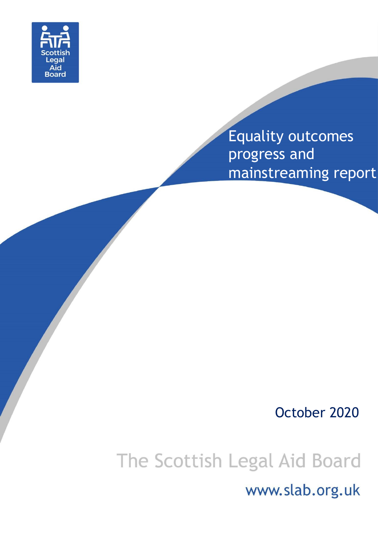

# Equality outcomes progress and mainstreaming report

# October 2020

# The Scottish Legal Aid Board

www.slab.org.uk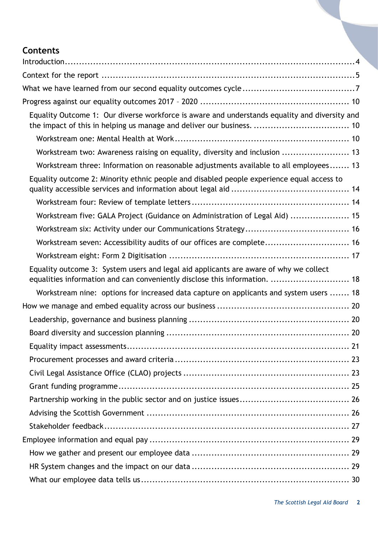# **Contents**

| Equality Outcome 1: Our diverse workforce is aware and understands equality and diversity and                                                                       |
|---------------------------------------------------------------------------------------------------------------------------------------------------------------------|
|                                                                                                                                                                     |
| Workstream two: Awareness raising on equality, diversity and inclusion  13                                                                                          |
| Workstream three: Information on reasonable adjustments available to all employees 13                                                                               |
| Equality outcome 2: Minority ethnic people and disabled people experience equal access to                                                                           |
|                                                                                                                                                                     |
| Workstream five: GALA Project (Guidance on Administration of Legal Aid)  15                                                                                         |
|                                                                                                                                                                     |
| Workstream seven: Accessibility audits of our offices are complete 16                                                                                               |
|                                                                                                                                                                     |
| Equality outcome 3: System users and legal aid applicants are aware of why we collect<br>equalities information and can conveniently disclose this information.  18 |
| Workstream nine: options for increased data capture on applicants and system users  18                                                                              |
|                                                                                                                                                                     |
|                                                                                                                                                                     |
|                                                                                                                                                                     |
|                                                                                                                                                                     |
|                                                                                                                                                                     |
|                                                                                                                                                                     |
|                                                                                                                                                                     |
|                                                                                                                                                                     |
|                                                                                                                                                                     |
|                                                                                                                                                                     |
|                                                                                                                                                                     |
|                                                                                                                                                                     |
|                                                                                                                                                                     |
|                                                                                                                                                                     |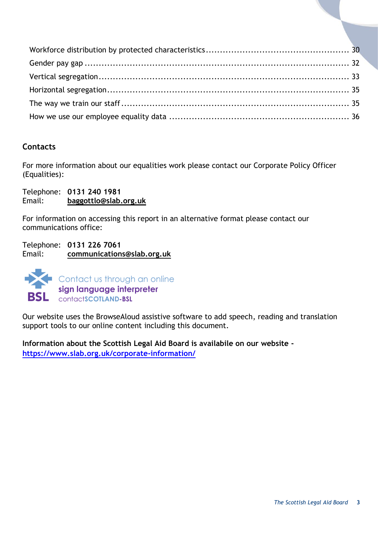# **Contacts**

For more information about our equalities work please contact our Corporate Policy Officer (Equalities):

Telephone: **0131 240 1981** Email: **[baggottlo@slab.org.uk](mailto:baggottlo@slab.org.uk)**

For information on accessing this report in an alternative format please contact our communications office:

Telephone: **0131 226 7061** Email: **[communications@slab.org.uk](mailto:communications@slab.org.uk)**



Our website uses the BrowseAloud assistive software to add speech, reading and translation support tools to our online content including this document.

**Information about the Scottish Legal Aid Board is availabile on our website <https://www.slab.org.uk/corporate-information/>**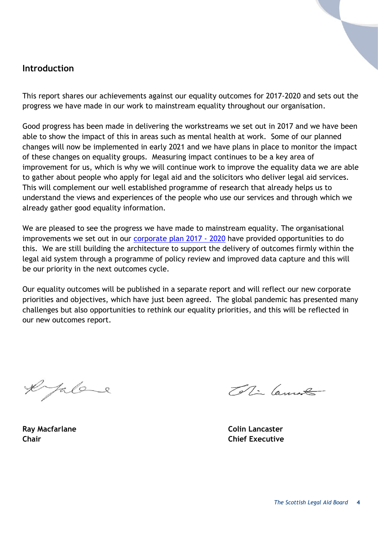# <span id="page-3-0"></span>**Introduction**

This report shares our achievements against our equality outcomes for 2017-2020 and sets out the progress we have made in our work to mainstream equality throughout our organisation.

Good progress has been made in delivering the workstreams we set out in 2017 and we have been able to show the impact of this in areas such as mental health at work. Some of our planned changes will now be implemented in early 2021 and we have plans in place to monitor the impact of these changes on equality groups. Measuring impact continues to be a key area of improvement for us, which is why we will continue work to improve the equality data we are able to gather about people who apply for legal aid and the solicitors who deliver legal aid services. This will complement our well established programme of research that already helps us to understand the views and experiences of the people who use our services and through which we already gather good equality information.

We are pleased to see the progress we have made to mainstream equality. The organisational improvements we set out in our [corporate plan 2017 -](https://www.slab.org.uk/corporate-information/publications/corporate-information/corporate-and-business-plans/) 2020 have provided opportunities to do this. We are still building the architecture to support the delivery of outcomes firmly within the legal aid system through a programme of policy review and improved data capture and this will be our priority in the next outcomes cycle.

Our equality outcomes will be published in a separate report and will reflect our new corporate priorities and objectives, which have just been agreed. The global pandemic has presented many challenges but also opportunities to rethink our equality priorities, and this will be reflected in our new outcomes report.

e falare

To Ti Cannot

**Ray Macfarlane Colin Lancaster Chair Chief Executive**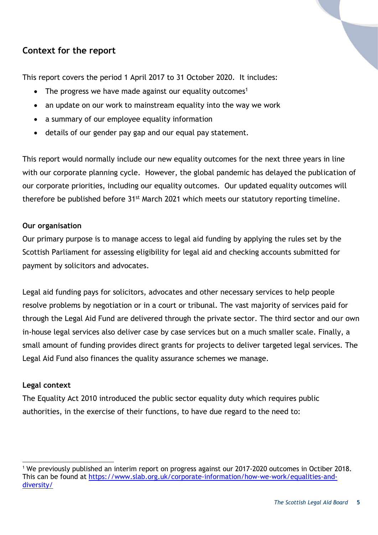# <span id="page-4-0"></span>**Context for the report**

This report covers the period 1 April 2017 to 31 October 2020. It includes:

- The progress we have made against our equality outcomes<sup>1</sup>
- an update on our work to mainstream equality into the way we work
- a summary of our employee equality information
- details of our gender pay gap and our equal pay statement.

This report would normally include our new equality outcomes for the next three years in line with our corporate planning cycle. However, the global pandemic has delayed the publication of our corporate priorities, including our equality outcomes. Our updated equality outcomes will therefore be published before 31<sup>st</sup> March 2021 which meets our statutory reporting timeline.

#### **Our organisation**

Our primary purpose is to manage access to legal aid funding by applying the rules set by the Scottish Parliament for assessing eligibility for legal aid and checking accounts submitted for payment by solicitors and advocates.

Legal aid funding pays for solicitors, advocates and other necessary services to help people resolve problems by negotiation or in a court or tribunal. The vast majority of services paid for through the Legal Aid Fund are delivered through the private sector. The third sector and our own in-house legal services also deliver case by case services but on a much smaller scale. Finally, a small amount of funding provides direct grants for projects to deliver targeted legal services. The Legal Aid Fund also finances the quality assurance schemes we manage.

#### **Legal context**

l

The Equality Act 2010 introduced the public sector equality duty which requires public authorities, in the exercise of their functions, to have due regard to the need to:

<sup>&</sup>lt;sup>1</sup> We previously published an interim report on progress against our 2017-2020 outcomes in Octiber 2018. This can be found at [https://www.slab.org.uk/corporate-information/how-we-work/equalities-and](https://www.slab.org.uk/corporate-information/how-we-work/equalities-and-diversity/)[diversity/](https://www.slab.org.uk/corporate-information/how-we-work/equalities-and-diversity/)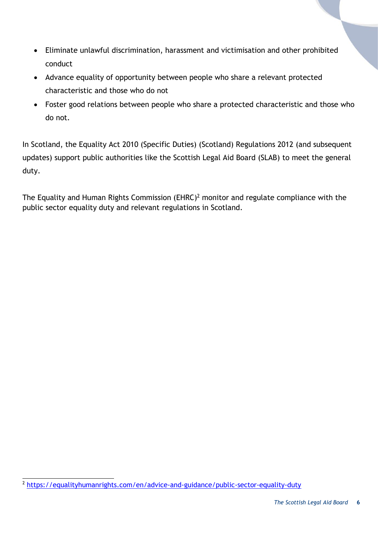- Eliminate unlawful discrimination, harassment and victimisation and other prohibited conduct
- Advance equality of opportunity between people who share a relevant protected characteristic and those who do not
- Foster good relations between people who share a protected characteristic and those who do not.

In Scotland, the Equality Act 2010 (Specific Duties) (Scotland) Regulations 2012 (and subsequent updates) support public authorities like the Scottish Legal Aid Board (SLAB) to meet the general duty.

The Equality and Human Rights Commission (EHRC)<sup>2</sup> monitor and regulate compliance with the public sector equality duty and relevant regulations in Scotland.

 2 <https://equalityhumanrights.com/en/advice-and-guidance/public-sector-equality-duty>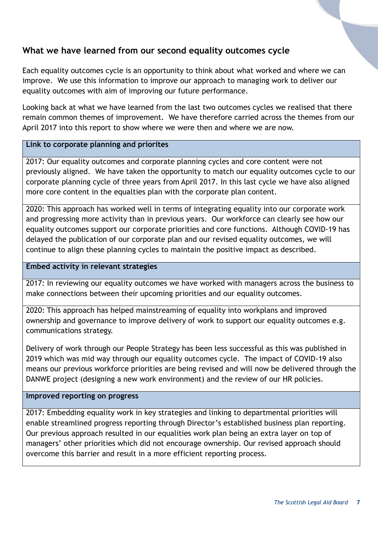# <span id="page-6-0"></span>**What we have learned from our second equality outcomes cycle**

Each equality outcomes cycle is an opportunity to think about what worked and where we can improve.We use this information to improve our approach to managing work to deliver our equality outcomes with aim of improving our future performance.

Looking back at what we have learned from the last two outcomes cycles we realised that there remain common themes of improvement. We have therefore carried across the themes from our April 2017 into this report to show where we were then and where we are now.

#### **Link to corporate planning and priorites**

2017: Our equality outcomes and corporate planning cycles and core content were not previously aligned. We have taken the opportunity to match our equality outcomes cycle to our corporate planning cycle of three years from April 2017. In this last cycle we have also aligned more core content in the equalties plan with the corporate plan content.

2020: This approach has worked well in terms of integrating equality into our corporate work and progressing more activity than in previous years. Our workforce can clearly see how our equality outcomes support our corporate priorities and core functions. Although COVID-19 has delayed the publication of our corporate plan and our revised equality outcomes, we will continue to align these planning cycles to maintain the positive impact as described.

#### **Embed activity in relevant strategies**

2017: In reviewing our equality outcomes we have worked with managers across the business to make connections between their upcoming priorities and our equality outcomes.

2020: This approach has helped mainstreaming of equality into workplans and improved ownership and governance to improve delivery of work to support our equality outcomes e.g. communications strategy.

Delivery of work through our People Strategy has been less successful as this was published in 2019 which was mid way through our equality outcomes cycle. The impact of COVID-19 also means our previous workforce priorities are being revised and will now be delivered through the DANWE project (designing a new work environment) and the review of our HR policies.

#### **Improved reporting on progress**

2017: Embedding equality work in key strategies and linking to departmental priorities will enable streamlined progress reporting through Director's established business plan reporting. Our previous approach resulted in our equalities work plan being an extra layer on top of managers' other priorities which did not encourage ownership. Our revised approach should overcome this barrier and result in a more efficient reporting process.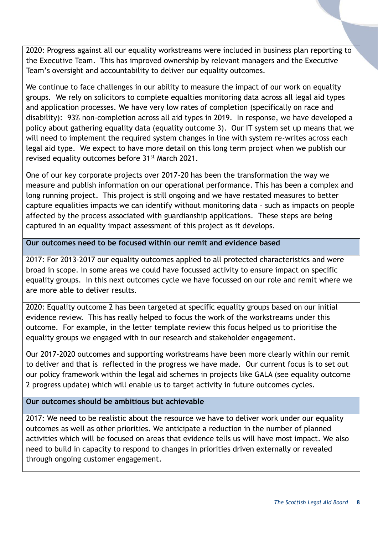2020: Progress against all our equality workstreams were included in business plan reporting to the Executive Team. This has improved ownership by relevant managers and the Executive Team's oversight and accountability to deliver our equality outcomes.

We continue to face challenges in our ability to measure the impact of our work on equality groups. We rely on solicitors to complete equalties monitoring data across all legal aid types and application processes. We have very low rates of completion (specifically on race and disability): 93% non-completion across all aid types in 2019. In response, we have developed a policy about gathering equality data (equality outcome 3). Our IT system set up means that we will need to implement the required system changes in line with system re-writes across each legal aid type. We expect to have more detail on this long term project when we publish our revised equality outcomes before 31<sup>st</sup> March 2021.

One of our key corporate projects over 2017-20 has been the transformation the way we measure and publish information on our operational performance. This has been a complex and long running project. This project is still ongoing and we have restated measures to better capture equalities impacts we can identify without monitoring data – such as impacts on people affected by the process associated with guardianship applications. These steps are being captured in an equality impact assessment of this project as it develops.

#### **Our outcomes need to be focused within our remit and evidence based**

2017: For 2013-2017 our equality outcomes applied to all protected characteristics and were broad in scope. In some areas we could have focussed activity to ensure impact on specific equality groups. In this next outcomes cycle we have focussed on our role and remit where we are more able to deliver results.

2020: Equality outcome 2 has been targeted at specific equality groups based on our initial evidence review. This has really helped to focus the work of the workstreams under this outcome. For example, in the letter template review this focus helped us to prioritise the equality groups we engaged with in our research and stakeholder engagement.

Our 2017-2020 outcomes and supporting workstreams have been more clearly within our remit to deliver and that is reflected in the progress we have made. Our current focus is to set out our policy framework within the legal aid schemes in projects like GALA (see equality outcome 2 progress update) which will enable us to target activity in future outcomes cycles.

#### **Our outcomes should be ambitious but achievable**

2017: We need to be realistic about the resource we have to deliver work under our equality outcomes as well as other priorities. We anticipate a reduction in the number of planned activities which will be focused on areas that evidence tells us will have most impact. We also need to build in capacity to respond to changes in priorities driven externally or revealed through ongoing customer engagement.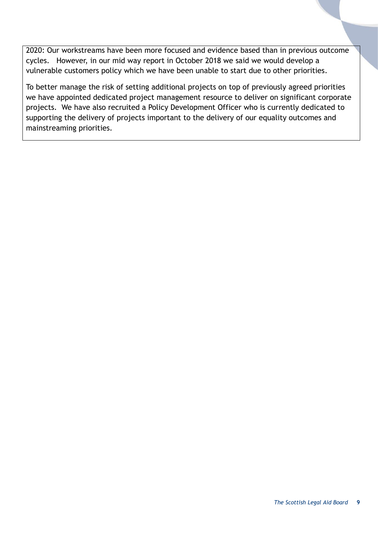2020: Our workstreams have been more focused and evidence based than in previous outcome cycles. However, in our mid way report in October 2018 we said we would develop a vulnerable customers policy which we have been unable to start due to other priorities.

To better manage the risk of setting additional projects on top of previously agreed priorities we have appointed dedicated project management resource to deliver on significant corporate projects. We have also recruited a Policy Development Officer who is currently dedicated to supporting the delivery of projects important to the delivery of our equality outcomes and mainstreaming priorities.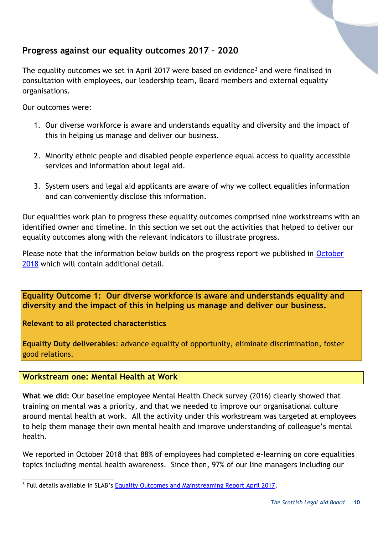# <span id="page-9-0"></span>**Progress against our equality outcomes 2017 – 2020**

The equality outcomes we set in April 2017 were based on evidence<sup>3</sup> and were finalised in consultation with employees, our leadership team, Board members and external equality organisations.

Our outcomes were:

- 1. Our diverse workforce is aware and understands equality and diversity and the impact of this in helping us manage and deliver our business.
- 2. Minority ethnic people and disabled people experience equal access to quality accessible services and information about legal aid.
- 3. System users and legal aid applicants are aware of why we collect equalities information and can conveniently disclose this information.

Our equalities work plan to progress these equality outcomes comprised nine workstreams with an identified owner and timeline. In this section we set out the activities that helped to deliver our equality outcomes along with the relevant indicators to illustrate progress.

Please note that the information below builds on the progress report we published in [October](https://www.slab.org.uk/?download=file&file=5236)  [2018](https://www.slab.org.uk/?download=file&file=5236) which will contain additional detail.

<span id="page-9-1"></span>**Equality Outcome 1: Our diverse workforce is aware and understands equality and diversity and the impact of this in helping us manage and deliver our business.**

**Relevant to all protected characteristics**

**Equality Duty deliverables**: advance equality of opportunity, eliminate discrimination, foster good relations.

<span id="page-9-2"></span>**Workstream one: Mental Health at Work**

**What we did:** Our baseline employee Mental Health Check survey (2016) clearly showed that training on mental was a priority, and that we needed to improve our organisational culture around mental health at work. All the activity under this workstream was targeted at employees to help them manage their own mental health and improve understanding of colleague's mental health.

We reported in October 2018 that 88% of employees had completed e-learning on core equalities topics including mental health awareness. Since then, 97% of our line managers including our

l <sup>3</sup> Full details available in SLAB's [Equality Outcomes and Mainstreaming Report April 2017.](http://www.slab.org.uk/app/uploads/2019/05/Equalities-Mainstreaming-and-Equality-Outcomes-Progress-Report-April-2017FINAL.pdf)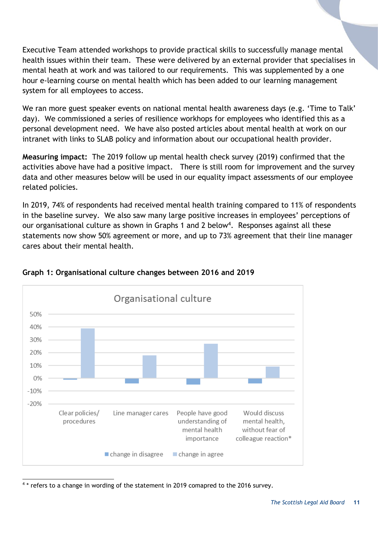Executive Team attended workshops to provide practical skills to successfully manage mental health issues within their team. These were delivered by an external provider that specialises in mental heath at work and was tailored to our requirements. This was supplemented by a one hour e-learning course on mental health which has been added to our learning management system for all employees to access.

We ran more guest speaker events on national mental health awareness days (e.g. 'Time to Talk' day). We commissioned a series of resilience workhops for employees who identified this as a personal development need. We have also posted articles about mental health at work on our intranet with links to SLAB policy and information about our occupational health provider.

**Measuring impact:** The 2019 follow up mental health check survey (2019) confirmed that the activities above have had a positive impact. There is still room for improvement and the survey data and other measures below will be used in our equality impact assessments of our employee related policies.

In 2019, 74% of respondents had received mental health training compared to 11% of respondents in the baseline survey. We also saw many large positive increases in employees' perceptions of our organisational culture as shown in Graphs 1 and 2 below<sup>4</sup>. Responses against all these statements now show 50% agreement or more, and up to 73% agreement that their line manager cares about their mental health.



# **Graph 1: Organisational culture changes between 2016 and 2019**

l 4 \* refers to a change in wording of the statement in 2019 comapred to the 2016 survey.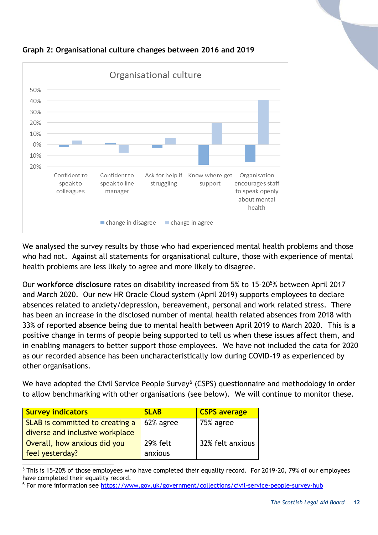



We analysed the survey results by those who had experienced mental health problems and those who had not. Against all statements for organisational culture, those with experience of mental health problems are less likely to agree and more likely to disagree.

Our **workforce disclosure** rates on disability increased from 5% to 15-20<sup>5</sup>% between April 2017 and March 2020. Our new HR Oracle Cloud system (April 2019) supports employees to declare absences related to anxiety/depression, bereavement, personal and work related stress. There has been an increase in the disclosed number of mental health related absences from 2018 with 33% of reported absence being due to mental health between April 2019 to March 2020. This is a positive change in terms of people being supported to tell us when these issues affect them, and in enabling managers to better support those employees. We have not included the data for 2020 as our recorded absence has been uncharacteristically low during COVID-19 as experienced by other organisations.

We have adopted the Civil Service People Survey<sup>6</sup> (CSPS) questionnaire and methodology in order to allow benchmarking with other organisations (see below). We will continue to monitor these.

| <b>Survey indicators</b>        | <b>SLAB</b>     | <b>CSPS</b> average |
|---------------------------------|-----------------|---------------------|
| SLAB is committed to creating a | 62% agree       | $\vert$ 75% agree   |
| diverse and inclusive workplace |                 |                     |
| Overall, how anxious did you    | <b>29% felt</b> | 32% felt anxious    |
| feel yesterday?                 | anxious         |                     |

l <sup>5</sup> This is 15-20% of those employees who have completed their equality record. For 2019-20, 79% of our employees have completed their equality record.

<sup>6</sup> For more information see<https://www.gov.uk/government/collections/civil-service-people-survey-hub>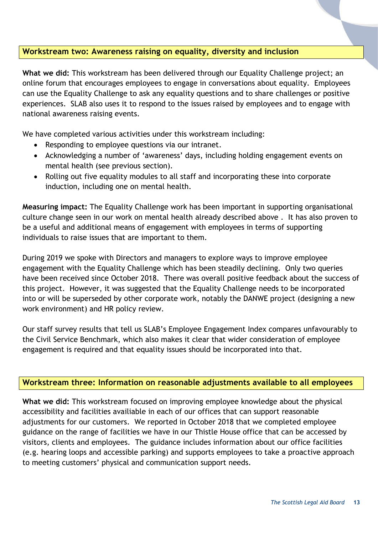#### <span id="page-12-0"></span>**Workstream two: Awareness raising on equality, diversity and inclusion**

**What we did:** This workstream has been delivered through our Equality Challenge project; an online forum that encourages employees to engage in conversations about equality. Employees can use the Equality Challenge to ask any equality questions and to share challenges or positive experiences. SLAB also uses it to respond to the issues raised by employees and to engage with national awareness raising events.

We have completed various activities under this workstream including:

- Responding to employee questions via our intranet.
- Acknowledging a number of 'awareness' days, including holding engagement events on mental health (see previous section).
- Rolling out five equality modules to all staff and incorporating these into corporate induction, including one on mental health.

**Measuring impact:** The Equality Challenge work has been important in supporting organisational culture change seen in our work on mental health already described above . It has also proven to be a useful and additional means of engagement with employees in terms of supporting individuals to raise issues that are important to them.

During 2019 we spoke with Directors and managers to explore ways to improve employee engagement with the Equality Challenge which has been steadily declining. Only two queries have been received since October 2018. There was overall positive feedback about the success of this project. However, it was suggested that the Equality Challenge needs to be incorporated into or will be superseded by other corporate work, notably the DANWE project (designing a new work environment) and HR policy review.

Our staff survey results that tell us SLAB's Employee Engagement Index compares unfavourably to the Civil Service Benchmark, which also makes it clear that wider consideration of employee engagement is required and that equality issues should be incorporated into that.

#### <span id="page-12-1"></span>**Workstream three: Information on reasonable adjustments available to all employees**

**What we did:** This workstream focused on improving employee knowledge about the physical accessibility and facilities availiable in each of our offices that can support reasonable adjustments for our customers. We reported in October 2018 that we completed employee guidance on the range of facilities we have in our Thistle House office that can be accessed by visitors, clients and employees. The guidance includes information about our office facilities (e.g. hearing loops and accessible parking) and supports employees to take a proactive approach to meeting customers' physical and communication support needs.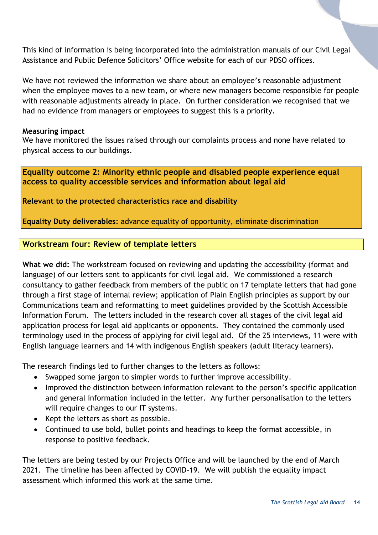This kind of information is being incorporated into the administration manuals of our Civil Legal Assistance and Public Defence Solicitors' Office website for each of our PDSO offices.

We have not reviewed the information we share about an employee's reasonable adjustment when the employee moves to a new team, or where new managers become responsible for people with reasonable adjustments already in place. On further consideration we recognised that we had no evidence from managers or employees to suggest this is a priority.

#### **Measuring impact**

We have monitored the issues raised through our complaints process and none have related to physical access to our buildings.

<span id="page-13-0"></span>**Equality outcome 2: Minority ethnic people and disabled people experience equal access to quality accessible services and information about legal aid**

**Relevant to the protected characteristics race and disability**

**Equality Duty deliverables**: advance equality of opportunity, eliminate discrimination

#### <span id="page-13-1"></span>**Workstream four: Review of template letters**

**What we did:** The workstream focused on reviewing and updating the accessibility (format and language) of our letters sent to applicants for civil legal aid. We commissioned a research consultancy to gather feedback from members of the public on 17 template letters that had gone through a first stage of internal review; application of Plain English principles as support by our Communications team and reformatting to meet guidelines provided by the Scottish Accessible Information Forum. The letters included in the research cover all stages of the civil legal aid application process for legal aid applicants or opponents. They contained the commonly used terminology used in the process of applying for civil legal aid. Of the 25 interviews, 11 were with English language learners and 14 with indigenous English speakers (adult literacy learners).

The research findings led to further changes to the letters as follows:

- Swapped some jargon to simpler words to further improve accessibility.
- Improved the distinction between information relevant to the person's specific application and general information included in the letter. Any further personalisation to the letters will require changes to our IT systems.
- Kept the letters as short as possible.
- Continued to use bold, bullet points and headings to keep the format accessible, in response to positive feedback.

The letters are being tested by our Projects Office and will be launched by the end of March 2021. The timeline has been affected by COVID-19. We will publish the equality impact assessment which informed this work at the same time.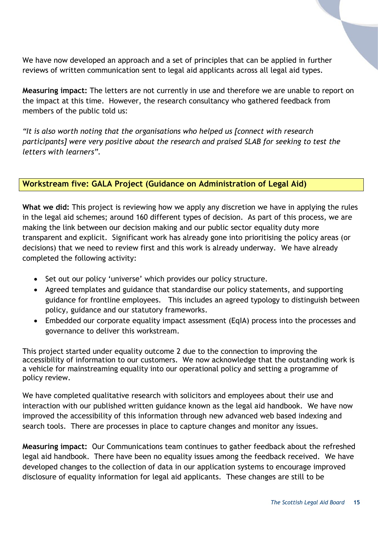We have now developed an approach and a set of principles that can be applied in further reviews of written communication sent to legal aid applicants across all legal aid types.

**Measuring impact:** The letters are not currently in use and therefore we are unable to report on the impact at this time. However, the research consultancy who gathered feedback from members of the public told us:

*"It is also worth noting that the organisations who helped us [connect with research participants] were very positive about the research and praised SLAB for seeking to test the letters with learners".*

#### <span id="page-14-0"></span>**Workstream five: GALA Project (Guidance on Administration of Legal Aid)**

**What we did:** This project is reviewing how we apply any discretion we have in applying the rules in the legal aid schemes; around 160 different types of decision. As part of this process, we are making the link between our decision making and our public sector equality duty more transparent and explicit. Significant work has already gone into prioritising the policy areas (or decisions) that we need to review first and this work is already underway. We have already completed the following activity:

- Set out our policy 'universe' which provides our policy structure.
- Agreed templates and guidance that standardise our policy statements, and supporting guidance for frontline employees. This includes an agreed typology to distinguish between policy, guidance and our statutory frameworks.
- Embedded our corporate equality impact assessment (EqIA) process into the processes and governance to deliver this workstream.

This project started under equality outcome 2 due to the connection to improving the accessibility of information to our customers. We now acknowledge that the outstanding work is a vehicle for mainstreaming equality into our operational policy and setting a programme of policy review.

We have completed qualitative research with solicitors and employees about their use and interaction with our published written guidance known as the legal aid handbook. We have now improved the accessibility of this information through new advanced web based indexing and search tools. There are processes in place to capture changes and monitor any issues.

**Measuring impact:** Our Communications team continues to gather feedback about the refreshed legal aid handbook. There have been no equality issues among the feedback received. We have developed changes to the collection of data in our application systems to encourage improved disclosure of equality information for legal aid applicants. These changes are still to be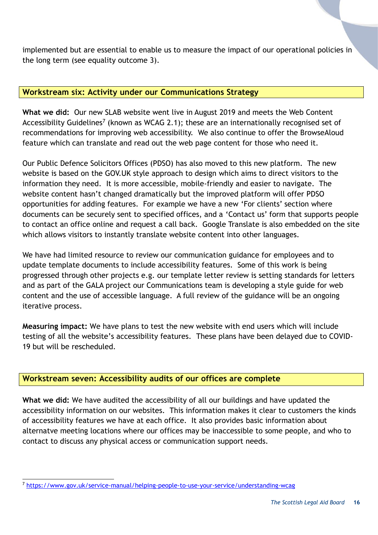implemented but are essential to enable us to measure the impact of our operational policies in the long term (see equality outcome 3).

#### <span id="page-15-0"></span>**Workstream six: Activity under our Communications Strategy**

**What we did:** Our new SLAB website went live in August 2019 and meets the Web Content Accessibility Guidelines<sup>7</sup> (known as WCAG 2.1); these are an internationally recognised set of recommendations for improving web accessibility. We also continue to offer the BrowseAloud feature which can translate and read out the web page content for those who need it.

Our Public Defence Solicitors Offices (PDSO) has also moved to this new platform. The new website is based on the GOV.UK style approach to design which aims to direct visitors to the information they need. It is more accessible, mobile-friendly and easier to navigate. The website content hasn't changed dramatically but the improved platform will offer PDSO opportunities for adding features. For example we have a new 'For clients' section where documents can be securely sent to specified offices, and a 'Contact us' form that supports people to contact an office online and request a call back. Google Translate is also embedded on the site which allows visitors to instantly translate website content into other languages.

We have had limited resource to review our communication guidance for employees and to update template documents to include accessibility features. Some of this work is being progressed through other projects e.g. our template letter review is setting standards for letters and as part of the GALA project our Communications team is developing a style guide for web content and the use of accessible language. A full review of the guidance will be an ongoing iterative process.

**Measuring impact:** We have plans to test the new website with end users which will include testing of all the website's accessibility features. These plans have been delayed due to COVID-19 but will be rescheduled.

# <span id="page-15-1"></span>**Workstream seven: Accessibility audits of our offices are complete**

**What we did:** We have audited the accessibility of all our buildings and have updated the accessibility information on our websites. This information makes it clear to customers the kinds of accessibility features we have at each office. It also provides basic information about alternatve meeting locations where our offices may be inaccessible to some people, and who to contact to discuss any physical access or communication support needs.

l

<sup>7</sup> <https://www.gov.uk/service-manual/helping-people-to-use-your-service/understanding-wcag>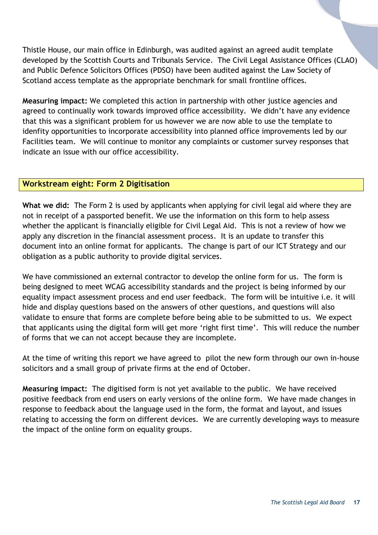Thistle House, our main office in Edinburgh, was audited against an agreed audit template developed by the Scottish Courts and Tribunals Service. The Civil Legal Assistance Offices (CLAO) and Public Defence Solicitors Offices (PDSO) have been audited against the Law Society of Scotland access template as the appropriate benchmark for small frontline offices.

**Measuring impact:** We completed this action in partnership with other justice agencies and agreed to continually work towards improved office accessibility. We didn't have any evidence that this was a significant problem for us however we are now able to use the template to idenfity opportunities to incorporate accessibility into planned office improvements led by our Facilities team. We will continue to monitor any complaints or customer survey responses that indicate an issue with our office accessibility.

#### <span id="page-16-0"></span>**Workstream eight: Form 2 Digitisation**

**What we did:** The Form 2 is used by applicants when applying for civil legal aid where they are not in receipt of a passported benefit. We use the information on this form to help assess whether the applicant is financially eligible for Civil Legal Aid. This is not a review of how we apply any discretion in the financial assessment process. It is an update to transfer this document into an online format for applicants. The change is part of our ICT Strategy and our obligation as a public authority to provide digital services.

We have commissioned an external contractor to develop the online form for us. The form is being designed to meet WCAG accessibility standards and the project is being informed by our equality impact assessment process and end user feedback. The form will be intuitive i.e. it will hide and display questions based on the answers of other questions, and questions will also validate to ensure that forms are complete before being able to be submitted to us. We expect that applicants using the digital form will get more 'right first time'. This will reduce the number of forms that we can not accept because they are incomplete.

At the time of writing this report we have agreed to pilot the new form through our own in-house solicitors and a small group of private firms at the end of October.

**Measuring impact:** The digitised form is not yet available to the public. We have received positive feedback from end users on early versions of the online form. We have made changes in response to feedback about the language used in the form, the format and layout, and issues relating to accessing the form on different devices. We are currently developing ways to measure the impact of the online form on equality groups.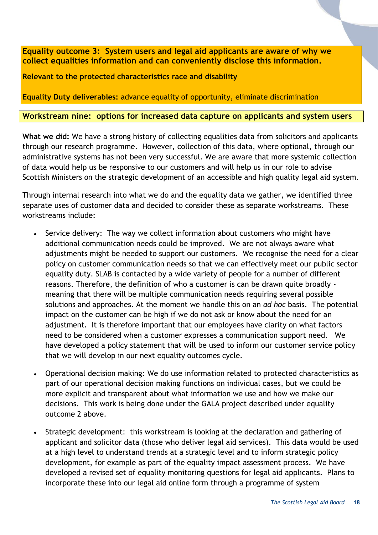<span id="page-17-0"></span>**Equality outcome 3: System users and legal aid applicants are aware of why we collect equalities information and can conveniently disclose this information.**

**Relevant to the protected characteristics race and disability**

**Equality Duty deliverables:** advance equality of opportunity, eliminate discrimination

#### <span id="page-17-1"></span>**Workstream nine: options for increased data capture on applicants and system users**

**What we did:** We have a strong history of collecting equalities data from solicitors and applicants through our research programme. However, collection of this data, where optional, through our administrative systems has not been very successful. We are aware that more systemic collection of data would help us be responsive to our customers and will help us in our role to advise Scottish Ministers on the strategic development of an accessible and high quality legal aid system.

Through internal research into what we do and the equality data we gather, we identified three separate uses of customer data and decided to consider these as separate workstreams. These workstreams include:

- Service delivery: The way we collect information about customers who might have additional communication needs could be improved. We are not always aware what adjustments might be needed to support our customers. We recognise the need for a clear policy on customer communication needs so that we can effectively meet our public sector equality duty. SLAB is contacted by a wide variety of people for a number of different reasons. Therefore, the definition of who a customer is can be drawn quite broadly meaning that there will be multiple communication needs requiring several possible solutions and approaches. At the moment we handle this on an *ad hoc* basis. The potential impact on the customer can be high if we do not ask or know about the need for an adjustment. It is therefore important that our employees have clarity on what factors need to be considered when a customer expresses a communication support need. We have developed a policy statement that will be used to inform our customer service policy that we will develop in our next equality outcomes cycle.
- Operational decision making: We do use information related to protected characteristics as part of our operational decision making functions on individual cases, but we could be more explicit and transparent about what information we use and how we make our decisions. This work is being done under the GALA project described under equality outcome 2 above.
- Strategic development: this workstream is looking at the declaration and gathering of applicant and solicitor data (those who deliver legal aid services). This data would be used at a high level to understand trends at a strategic level and to inform strategic policy development, for example as part of the equality impact assessment process. We have developed a revised set of equality monitoring questions for legal aid applicants. Plans to incorporate these into our legal aid online form through a programme of system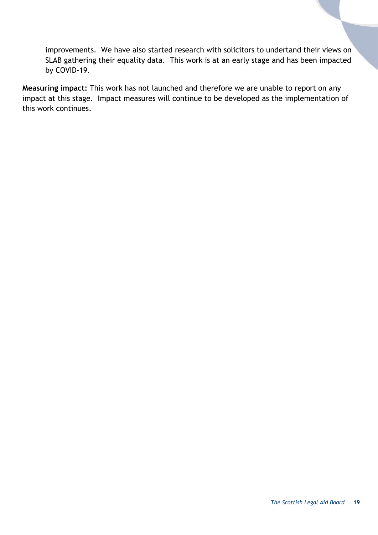improvements. We have also started research with solicitors to undertand their views on SLAB gathering their equality data. This work is at an early stage and has been impacted by COVID-19.

**Measuring impact:** This work has not launched and therefore we are unable to report on any impact at this stage. Impact measures will continue to be developed as the implementation of this work continues.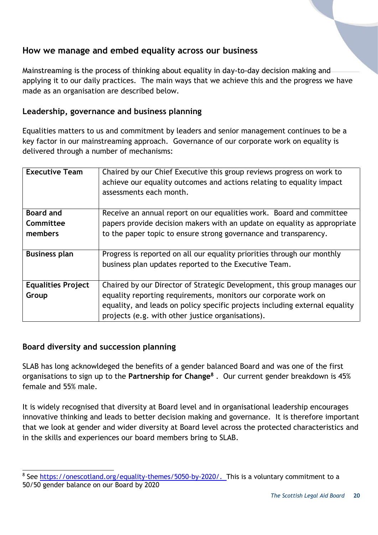# <span id="page-19-0"></span>**How we manage and embed equality across our business**

Mainstreaming is the process of thinking about equality in day-to-day decision making and applying it to our daily practices. The main ways that we achieve this and the progress we have made as an organisation are described below.

# <span id="page-19-1"></span>**Leadership, governance and business planning**

Equalities matters to us and commitment by leaders and senior management continues to be a key factor in our mainstreaming approach. Governance of our corporate work on equality is delivered through a number of mechanisms:

| <b>Executive Team</b>     | Chaired by our Chief Executive this group reviews progress on work to<br>achieve our equality outcomes and actions relating to equality impact<br>assessments each month. |
|---------------------------|---------------------------------------------------------------------------------------------------------------------------------------------------------------------------|
| <b>Board and</b>          | Receive an annual report on our equalities work. Board and committee                                                                                                      |
| Committee                 | papers provide decision makers with an update on equality as appropriate                                                                                                  |
| members                   | to the paper topic to ensure strong governance and transparency.                                                                                                          |
| <b>Business plan</b>      | Progress is reported on all our equality priorities through our monthly                                                                                                   |
|                           | business plan updates reported to the Executive Team.                                                                                                                     |
| <b>Equalities Project</b> | Chaired by our Director of Strategic Development, this group manages our                                                                                                  |
| Group                     | equality reporting requirements, monitors our corporate work on                                                                                                           |
|                           | equality, and leads on policy specific projects including external equality                                                                                               |
|                           | projects (e.g. with other justice organisations).                                                                                                                         |

# <span id="page-19-2"></span>**Board diversity and succession planning**

SLAB has long acknowldeged the benefits of a gender balanced Board and was one of the first organisations to sign up to the **Partnership for Change<sup>8</sup>** . Our current gender breakdown is 45% female and 55% male.

It is widely recognised that diversity at Board level and in organisational leadership encourages innovative thinking and leads to better decision making and governance. It is therefore important that we look at gender and wider diversity at Board level across the protected characteristics and in the skills and experiences our board members bring to SLAB.

l <sup>8</sup> See [https://onescotland.org/equality-themes/5050-by-2020/.](https://onescotland.org/equality-themes/5050-by-2020/) This is a voluntary commitment to a 50/50 gender balance on our Board by 2020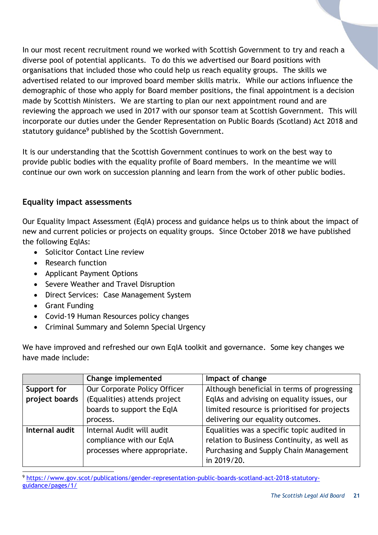In our most recent recruitment round we worked with Scottish Government to try and reach a diverse pool of potential applicants. To do this we advertised our Board positions with organisations that included those who could help us reach equality groups. The skills we advertised related to our improved board member skills matrix. While our actions influence the demographic of those who apply for Board member positions, the final appointment is a decision made by Scottish Ministers. We are starting to plan our next appointment round and are reviewing the approach we used in 2017 with our sponsor team at Scottish Government. This will incorporate our duties under the Gender Representation on Public Boards (Scotland) Act 2018 and statutory guidance<sup>9</sup> published by the Scottish Government.

It is our understanding that the Scottish Government continues to work on the best way to provide public bodies with the equality profile of Board members. In the meantime we will continue our own work on succession planning and learn from the work of other public bodies.

# <span id="page-20-0"></span>**Equality impact assessments**

Our Equality Impact Assessment (EqIA) process and guidance helps us to think about the impact of new and current policies or projects on equality groups. Since October 2018 we have published the following EqIAs:

- Solicitor Contact Line review
- Research function
- Applicant Payment Options
- Severe Weather and Travel Disruption
- Direct Services: Case Management System
- Grant Funding
- Covid-19 Human Resources policy changes
- Criminal Summary and Solemn Special Urgency

We have improved and refreshed our own EqIA toolkit and governance. Some key changes we have made include:

|                | Change implemented           | Impact of change                             |
|----------------|------------------------------|----------------------------------------------|
| Support for    | Our Corporate Policy Officer | Although beneficial in terms of progressing  |
| project boards | (Equalities) attends project | EqlAs and advising on equality issues, our   |
|                | boards to support the EqIA   | limited resource is prioritised for projects |
|                | process.                     | delivering our equality outcomes.            |
| Internal audit | Internal Audit will audit    | Equalities was a specific topic audited in   |
|                | compliance with our EqIA     | relation to Business Continuity, as well as  |
|                | processes where appropriate. | Purchasing and Supply Chain Management       |
|                |                              | in 2019/20.                                  |

l <sup>9</sup> [https://www.gov.scot/publications/gender-representation-public-boards-scotland-act-2018-statutory](https://www.gov.scot/publications/gender-representation-public-boards-scotland-act-2018-statutory-guidance/pages/1/)[guidance/pages/1/](https://www.gov.scot/publications/gender-representation-public-boards-scotland-act-2018-statutory-guidance/pages/1/)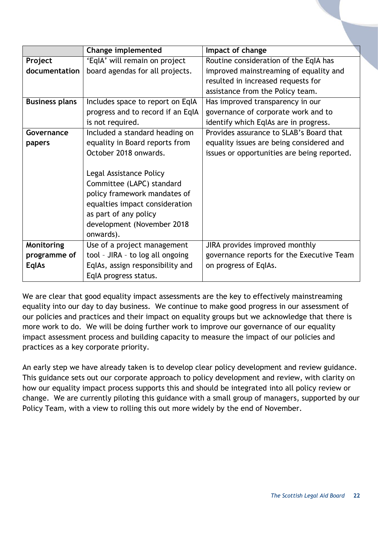|                       | <b>Change implemented</b>         | Impact of change                            |
|-----------------------|-----------------------------------|---------------------------------------------|
| Project               | 'EqlA' will remain on project     | Routine consideration of the EqIA has       |
| documentation         | board agendas for all projects.   | improved mainstreaming of equality and      |
|                       |                                   | resulted in increased requests for          |
|                       |                                   | assistance from the Policy team.            |
| <b>Business plans</b> | Includes space to report on EqIA  | Has improved transparency in our            |
|                       | progress and to record if an EqIA | governance of corporate work and to         |
|                       | is not required.                  | identify which EqlAs are in progress.       |
| Governance            | Included a standard heading on    | Provides assurance to SLAB's Board that     |
| papers                | equality in Board reports from    | equality issues are being considered and    |
|                       | October 2018 onwards.             | issues or opportunities are being reported. |
|                       |                                   |                                             |
|                       | Legal Assistance Policy           |                                             |
|                       | Committee (LAPC) standard         |                                             |
|                       | policy framework mandates of      |                                             |
|                       | equalties impact consideration    |                                             |
|                       | as part of any policy             |                                             |
|                       | development (November 2018        |                                             |
|                       | onwards).                         |                                             |
| Monitoring            | Use of a project management       | JIRA provides improved monthly              |
| programme of          | tool - JIRA - to log all ongoing  | governance reports for the Executive Team   |
| <b>EqlAs</b>          | EqlAs, assign responsibility and  | on progress of EqlAs.                       |
|                       | EqIA progress status.             |                                             |

We are clear that good equality impact assessments are the key to effectively mainstreaming equality into our day to day business. We continue to make good progress in our assessment of our policies and practices and their impact on equality groups but we acknowledge that there is more work to do. We will be doing further work to improve our governance of our equality impact assessment process and building capacity to measure the impact of our policies and practices as a key corporate priority.

An early step we have already taken is to develop clear policy development and review guidance. This guidance sets out our corporate approach to policy development and review, with clarity on how our equality impact process supports this and should be integrated into all policy review or change. We are currently piloting this guidance with a small group of managers, supported by our Policy Team, with a view to rolling this out more widely by the end of November.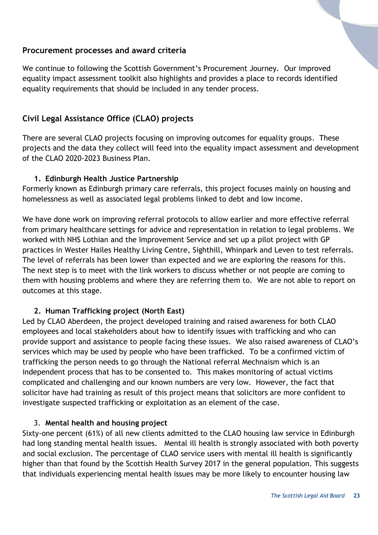#### <span id="page-22-0"></span>**Procurement processes and award criteria**

We continue to following the Scottish Government's Procurement Journey. Our improved equality impact assessment toolkit also highlights and provides a place to records identified equality requirements that should be included in any tender process.

# <span id="page-22-1"></span>**Civil Legal Assistance Office (CLAO) projects**

There are several CLAO projects focusing on improving outcomes for equality groups. These projects and the data they collect will feed into the equality impact assessment and development of the CLAO 2020-2023 Business Plan.

#### **1. Edinburgh Health Justice Partnership**

Formerly known as Edinburgh primary care referrals, this project focuses mainly on housing and homelessness as well as associated legal problems linked to debt and low income.

We have done work on improving referral protocols to allow earlier and more effective referral from primary healthcare settings for advice and representation in relation to legal problems. We worked with NHS Lothian and the Improvement Service and set up a pilot project with GP practices in Wester Hailes Healthy Living Centre, Sighthill, Whinpark and Leven to test referrals. The level of referrals has been lower than expected and we are exploring the reasons for this. The next step is to meet with the link workers to discuss whether or not people are coming to them with housing problems and where they are referring them to. We are not able to report on outcomes at this stage.

#### **2. Human Trafficking project (North East)**

Led by CLAO Aberdeen, the project developed training and raised awareness for both CLAO employees and local stakeholders about how to identify issues with trafficking and who can provide support and assistance to people facing these issues. We also raised awareness of CLAO's services which may be used by people who have been trafficked. To be a confirmed victim of trafficking the person needs to go through the National referral Mechnaism which is an independent process that has to be consented to. This makes monitoring of actual victims complicated and challenging and our known numbers are very low. However, the fact that solicitor have had training as result of this project means that solicitors are more confident to investigate suspected trafficking or exploitation as an element of the case.

#### 3. **Mental health and housing project**

Sixty-one percent (61%) of all new clients admitted to the CLAO housing law service in Edinburgh had long standing mental health issues. Mental ill health is strongly associated with both poverty and social exclusion. The percentage of CLAO service users with mental ill health is significantly higher than that found by the Scottish Health Survey 2017 in the general population. This suggests that individuals experiencing mental health issues may be more likely to encounter housing law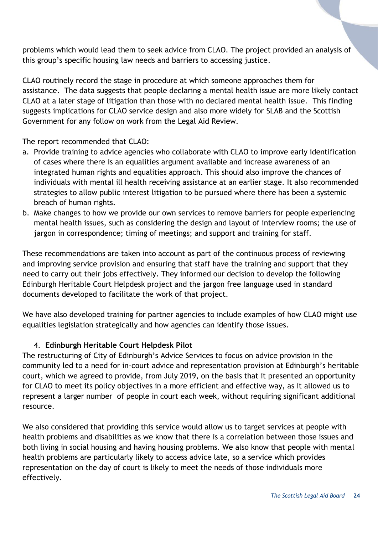problems which would lead them to seek advice from CLAO. The project provided an analysis of this group's specific housing law needs and barriers to accessing justice.

CLAO routinely record the stage in procedure at which someone approaches them for assistance. The data suggests that people declaring a mental health issue are more likely contact CLAO at a later stage of litigation than those with no declared mental health issue. This finding suggests implications for CLAO service design and also more widely for SLAB and the Scottish Government for any follow on work from the Legal Aid Review.

The report recommended that CLAO:

- a. Provide training to advice agencies who collaborate with CLAO to improve early identification of cases where there is an equalities argument available and increase awareness of an integrated human rights and equalities approach. This should also improve the chances of individuals with mental ill health receiving assistance at an earlier stage. It also recommended strategies to allow public interest litigation to be pursued where there has been a systemic breach of human rights.
- b. Make changes to how we provide our own services to remove barriers for people experiencing mental health issues, such as considering the design and layout of interview rooms; the use of jargon in correspondence; timing of meetings; and support and training for staff.

These recommendations are taken into account as part of the continuous process of reviewing and improving service provision and ensuring that staff have the training and support that they need to carry out their jobs effectively. They informed our decision to develop the following Edinburgh Heritable Court Helpdesk project and the jargon free language used in standard documents developed to facilitate the work of that project.

We have also developed training for partner agencies to include examples of how CLAO might use equalities legislation strategically and how agencies can identify those issues.

# 4. **Edinburgh Heritable Court Helpdesk Pilot**

The restructuring of City of Edinburgh's Advice Services to focus on advice provision in the community led to a need for in-court advice and representation provision at Edinburgh's heritable court, which we agreed to provide, from July 2019, on the basis that it presented an opportunity for CLAO to meet its policy objectives in a more efficient and effective way, as it allowed us to represent a larger number of people in court each week, without requiring significant additional resource.

We also considered that providing this service would allow us to target services at people with health problems and disabilities as we know that there is a correlation between those issues and both living in social housing and having housing problems. We also know that people with mental health problems are particularly likely to access advice late, so a service which provides representation on the day of court is likely to meet the needs of those individuals more effectively.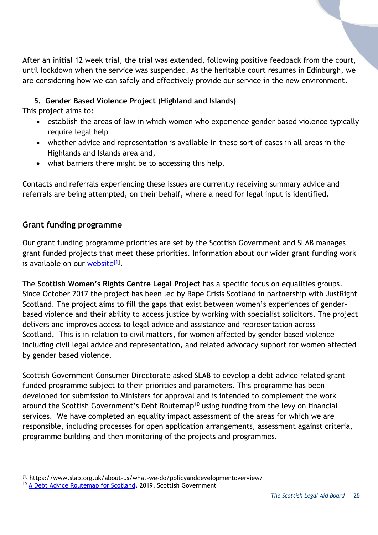After an initial 12 week trial, the trial was extended, following positive feedback from the court, until lockdown when the service was suspended. As the heritable court resumes in Edinburgh, we are considering how we can safely and effectively provide our service in the new environment.

# **5. Gender Based Violence Project (Highland and Islands)**

This project aims to:

- establish the areas of law in which women who experience gender based violence typically require legal help
- whether advice and representation is available in these sort of cases in all areas in the Highlands and Islands area and,
- what barriers there might be to accessing this help.

Contacts and referrals experiencing these issues are currently receiving summary advice and referrals are being attempted, on their behalf, where a need for legal input is identified.

# <span id="page-24-0"></span>**Grant funding programme**

Our grant funding programme priorities are set by the Scottish Government and SLAB manages grant funded projects that meet these priorities. Information about our wider grant funding work is available on our **website<sup>[1]</sup>.** 

The **Scottish Women's Rights Centre Legal Project** has a specific focus on equalities groups. Since October 2017 the project has been led by Rape Crisis Scotland in partnership with JustRight Scotland. The project aims to fill the gaps that exist between women's experiences of genderbased violence and their ability to access justice by working with specialist solicitors. The project delivers and improves access to legal advice and assistance and representation across Scotland. This is in relation to civil matters, for women affected by gender based violence including civil legal advice and representation, and related advocacy support for women affected by gender based violence.

Scottish Government Consumer Directorate asked SLAB to develop a debt advice related grant funded programme subject to their priorities and parameters. This programme has been developed for submission to Ministers for approval and is intended to complement the work around the Scottish Government's Debt Routemap<sup>10</sup> using funding from the levy on financial services. We have completed an equality impact assessment of the areas for which we are responsible, including processes for open application arrangements, assessment against criteria, programme building and then monitoring of the projects and programmes.

l [1] https://www.slab.org.uk/about-us/what-we-do/policyanddevelopmentoverview/

<sup>&</sup>lt;sup>10</sup> [A Debt Advice Routemap for Scotland,](https://www.gov.scot/binaries/content/documents/govscot/publications/strategy-plan/2019/12/debt-advice-routemap-scotland/documents/debt-advice-routemap-scotland/debt-advice-routemap-scotland/govscot%3Adocument/debt-advice-routemap-scotland.pdf) 2019, Scottish Government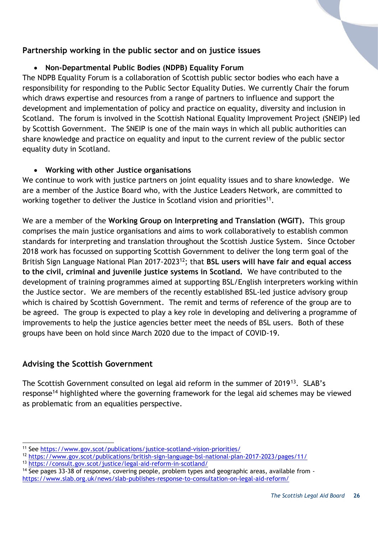# <span id="page-25-0"></span>**Partnership working in the public sector and on justice issues**

#### **Non-Departmental Public Bodies (NDPB) Equality Forum**

The NDPB Equality Forum is a collaboration of Scottish public sector bodies who each have a responsibility for responding to the Public Sector Equality Duties. We currently Chair the forum which draws expertise and resources from a range of partners to influence and support the development and implementation of policy and practice on equality, diversity and inclusion in Scotland. The forum is involved in the Scottish National Equality Improvement Project (SNEIP) led by Scottish Government. The SNEIP is one of the main ways in which all public authorities can share knowledge and practice on equality and input to the current review of the public sector equality duty in Scotland.

#### **Working with other Justice organisations**

We continue to work with justice partners on joint equality issues and to share knowledge. We are a member of the Justice Board who, with the Justice Leaders Network, are committed to working together to deliver the Justice in Scotland vision and priorities<sup>11</sup>.

We are a member of the **Working Group on Interpreting and Translation (WGIT).** This group comprises the main justice organisations and aims to work collaboratively to establish common standards for interpreting and translation throughout the Scottish Justice System. Since October 2018 work has focussed on supporting Scottish Government to deliver the long term goal of the British Sign Language National Plan 2017-2023<sup>12</sup>; that **BSL users will have fair and equal access to the civil, criminal and juvenile justice systems in Scotland.** We have contributed to the development of training programmes aimed at supporting BSL/English interpreters working within the Justice sector. We are members of the recently established BSL-led justice advisory group which is chaired by Scottish Government. The remit and terms of reference of the group are to be agreed. The group is expected to play a key role in developing and delivering a programme of improvements to help the justice agencies better meet the needs of BSL users. Both of these groups have been on hold since March 2020 due to the impact of COVID-19.

# <span id="page-25-1"></span>**Advising the Scottish Government**

l

The Scottish Government consulted on legal aid reform in the summer of 2019<sup>13</sup>. SLAB's response<sup>14</sup> highlighted where the governing framework for the legal aid schemes may be viewed as problematic from an equalities perspective.

<sup>11</sup> See<https://www.gov.scot/publications/justice-scotland-vision-priorities/>

<sup>12</sup> <https://www.gov.scot/publications/british-sign-language-bsl-national-plan-2017-2023/pages/11/>

<sup>13</sup> <https://consult.gov.scot/justice/legal-aid-reform-in-scotland/>

<sup>&</sup>lt;sup>14</sup> See pages 33-38 of response, covering people, problem types and geographic areas, available from -

<https://www.slab.org.uk/news/slab-publishes-response-to-consultation-on-legal-aid-reform/>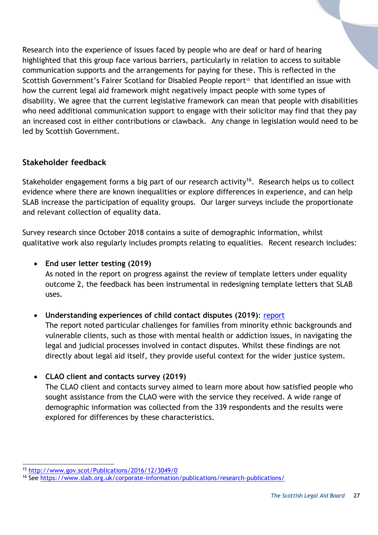Research into the experience of issues faced by people who are deaf or hard of hearing highlighted that this group face various barriers, particularly in relation to access to suitable communication supports and the arrangements for paying for these. This is reflected in the Scottish Government's Fairer Scotland for Disabled People report<sup>15</sup> that identified an issue with how the current legal aid framework might negatively impact people with some types of disability. We agree that the current legislative framework can mean that people with disabilities who need additional communication support to engage with their solicitor may find that they pay an increased cost in either contributions or clawback. Any change in legislation would need to be led by Scottish Government.

# <span id="page-26-0"></span>**Stakeholder feedback**

Stakeholder engagement forms a big part of our research activity<sup>16</sup>. Research helps us to collect evidence where there are known inequalities or explore differences in experience, and can help SLAB increase the participation of equality groups. Our larger surveys include the proportionate and relevant collection of equality data.

Survey research since October 2018 contains a suite of demographic information, whilst qualitative work also regularly includes prompts relating to equalities. Recent research includes:

# **End user letter testing (2019)**

As noted in the report on progress against the review of template letters under equality outcome 2, the feedback has been instrumental in redesigning template letters that SLAB uses.

# **Understanding experiences of child contact disputes (2019)**: [report](https://www.slab.org.uk/?download=file&file=1449)

The report noted particular challenges for families from minority ethnic backgrounds and vulnerable clients, such as those with mental health or addiction issues, in navigating the legal and judicial processes involved in contact disputes. Whilst these findings are not directly about legal aid itself, they provide useful context for the wider justice system.

# **CLAO client and contacts survey (2019)**

The CLAO client and contacts survey aimed to learn more about how satisfied people who sought assistance from the CLAO were with the service they received. A wide range of demographic information was collected from the 339 respondents and the results were explored for differences by these characteristics.

l <sup>15</sup> <http://www.gov.scot/Publications/2016/12/3049/0>

<sup>16</sup> See<https://www.slab.org.uk/corporate-information/publications/research-publications/>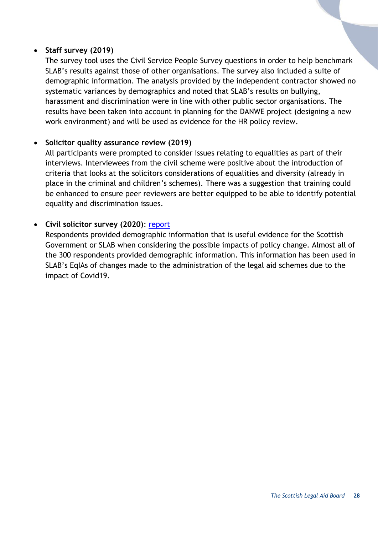#### **Staff survey (2019)**

The survey tool uses the Civil Service People Survey questions in order to help benchmark SLAB's results against those of other organisations. The survey also included a suite of demographic information. The analysis provided by the independent contractor showed no systematic variances by demographics and noted that SLAB's results on bullying, harassment and discrimination were in line with other public sector organisations. The results have been taken into account in planning for the DANWE project (designing a new work environment) and will be used as evidence for the HR policy review.

#### **Solicitor quality assurance review (2019)**

All participants were prompted to consider issues relating to equalities as part of their interviews. Interviewees from the civil scheme were positive about the introduction of criteria that looks at the solicitors considerations of equalities and diversity (already in place in the criminal and children's schemes). There was a suggestion that training could be enhanced to ensure peer reviewers are better equipped to be able to identify potential equality and discrimination issues.

#### **Civil solicitor survey (2020)**: [report](https://www.slab.org.uk/?download=file&file=19306)

Respondents provided demographic information that is useful evidence for the Scottish Government or SLAB when considering the possible impacts of policy change. Almost all of the 300 respondents provided demographic information. This information has been used in SLAB's EqIAs of changes made to the administration of the legal aid schemes due to the impact of Covid19.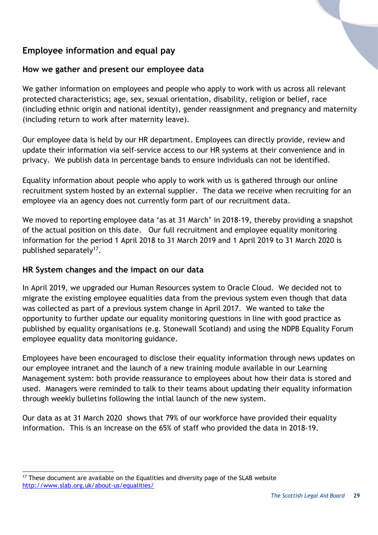# <span id="page-28-0"></span>**Employee information and equal pay**

# <span id="page-28-1"></span>**How we gather and present our employee data**

We gather information on employees and people who apply to work with us across all relevant protected characteristics; age, sex, sexual orientation, disability, religion or belief, race (including ethnic origin and national identity), gender reassignment and pregnancy and maternity (including return to work after maternity leave).

Our employee data is held by our HR department. Employees can directly provide, review and update their information via self-service access to our HR systems at their convenience and in privacy. We publish data in percentage bands to ensure individuals can not be identified.

Equality information about people who apply to work with us is gathered through our online recruitment system hosted by an external supplier. The data we receive when recruiting for an employee via an agency does not currently form part of our recruitment data.

We moved to reporting employee data 'as at 31 March' in 2018-19, thereby providing a snapshot of the actual position on this date. Our full recruitment and employee equality monitoring information for the period 1 April 2018 to 31 March 2019 and 1 April 2019 to 31 March 2020 is published separately<sup>17</sup>.

# <span id="page-28-2"></span>**HR System changes and the impact on our data**

In April 2019, we upgraded our Human Resources system to Oracle Cloud. We decided not to migrate the existing employee equalities data from the previous system even though that data was collected as part of a previous system change in April 2017. We wanted to take the opportunity to further update our equality monitoring questions in line with good practice as published by equality organisations (e.g. Stonewall Scotland) and using the NDPB Equality Forum employee equality data monitoring guidance.

Employees have been encouraged to disclose their equality information through news updates on our employee intranet and the launch of a new training module available in our Learning Management system: both provide reassurance to employees about how their data is stored and used. Managers were reminded to talk to their teams about updating their equality information through weekly bulletins following the intial launch of the new system.

Our data as at 31 March 2020 shows that 79% of our workforce have provided their equality information. This is an increase on the 65% of staff who provided the data in 2018-19.

l  $17$  These document are available on the Equalities and diversity page of the SLAB website <http://www.slab.org.uk/about-us/equalities/>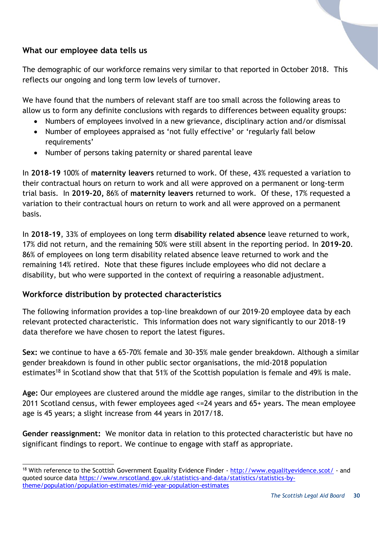# <span id="page-29-0"></span>**What our employee data tells us**

The demographic of our workforce remains very similar to that reported in October 2018. This reflects our ongoing and long term low levels of turnover.

We have found that the numbers of relevant staff are too small across the following areas to allow us to form any definite conclusions with regards to differences between equality groups:

- Numbers of employees involved in a new grievance, disciplinary action and/or dismissal
- Number of employees appraised as 'not fully effective' or 'regularly fall below requirements'
- Number of persons taking paternity or shared parental leave

In **2018-19** 100% of **maternity leavers** returned to work. Of these, 43% requested a variation to their contractual hours on return to work and all were approved on a permanent or long-term trial basis. In **2019-20,** 86% of **maternity leavers** returned to work. Of these, 17% requested a variation to their contractual hours on return to work and all were approved on a permanent basis.

In **2018-19**, 33% of employees on long term **disability related absence** leave returned to work, 17% did not return, and the remaining 50% were still absent in the reporting period. In **2019-20**. 86% of employees on long term disability related absence leave returned to work and the remaining 14% retired. Note that these figures include employees who did not declare a disability, but who were supported in the context of requiring a reasonable adjustment.

# <span id="page-29-1"></span>**Workforce distribution by protected characteristics**

The following information provides a top-line breakdown of our 2019-20 employee data by each relevant protected characteristic. This information does not wary significantly to our 2018-19 data therefore we have chosen to report the latest figures.

**Sex:** we continue to have a 65-70% female and 30-35% male gender breakdown. Although a similar gender breakdown is found in other public sector organisations, the mid-2018 population estimates<sup>18</sup> in Scotland show that that 51% of the Scottish population is female and 49% is male.

**Age:** Our employees are clustered around the middle age ranges, similar to the distribution in the 2011 Scotland census, with fewer employees aged <=24 years and 65+ years. The mean employee age is 45 years; a slight increase from 44 years in 2017/18.

**Gender reassignment:** We monitor data in relation to this protected characteristic but have no significant findings to report. We continue to engage with staff as appropriate.

l <sup>18</sup> With reference to the Scottish Government Equality Evidence Finder - <http://www.equalityevidence.scot/> - and quoted source data [https://www.nrscotland.gov.uk/statistics-and-data/statistics/statistics-by](https://www.nrscotland.gov.uk/statistics-and-data/statistics/statistics-by-theme/population/population-estimates/mid-year-population-estimates)[theme/population/population-estimates/mid-year-population-estimates](https://www.nrscotland.gov.uk/statistics-and-data/statistics/statistics-by-theme/population/population-estimates/mid-year-population-estimates)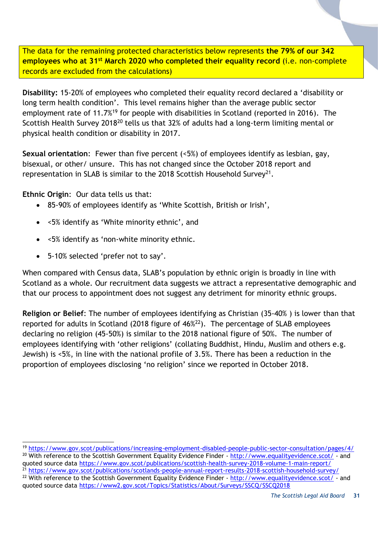The data for the remaining protected characteristics below represents **the 79% of our 342 employees who at 31st March 2020 who completed their equality record** (i.e. non-complete records are excluded from the calculations)

**Disability:** 15-20% of employees who completed their equality record declared a 'disability or long term health condition'. This level remains higher than the average public sector employment rate of 11.7%<sup>19</sup> for people with disabilities in Scotland (reported in 2016). The Scottish Health Survey 2018<sup>20</sup> tells us that 32% of adults had a long-term limiting mental or physical health condition or disability in 2017.

**Sexual orientation**: Fewer than five percent (<5%) of employees identify as lesbian, gay, bisexual, or other/ unsure. This has not changed since the October 2018 report and representation in SLAB is similar to the 2018 Scottish Household Survey<sup>21</sup>.

**Ethnic Origin**: Our data tells us that:

l

- 85-90% of employees identify as 'White Scottish, British or Irish',
- <5% identify as 'White minority ethnic', and
- <5% identify as 'non-white minority ethnic.
- 5-10% selected 'prefer not to say'.

When compared with Census data, SLAB's population by ethnic origin is broadly in line with Scotland as a whole. Our recruitment data suggests we attract a representative demographic and that our process to appointment does not suggest any detriment for minority ethnic groups.

**Religion or Belief**: The number of employees identifying as Christian (35-40% ) is lower than that reported for adults in Scotland (2018 figure of 46% <sup>22</sup>). The percentage of SLAB employees declaring no religion (45-50%) is similar to the 2018 national figure of 50%. The number of employees identifying with 'other religions' (collating Buddhist, Hindu, Muslim and others e.g. Jewish) is <5%, in line with the national profile of 3.5%. There has been a reduction in the proportion of employees disclosing 'no religion' since we reported in October 2018.

<sup>21</sup> <https://www.gov.scot/publications/scotlands-people-annual-report-results-2018-scottish-household-survey/> <sup>22</sup> With reference to the Scottish Government Equality Evidence Finder - <http://www.equalityevidence.scot/> - and quoted source data<https://www2.gov.scot/Topics/Statistics/About/Surveys/SSCQ/SSCQ2018>

<sup>19</sup> <https://www.gov.scot/publications/increasing-employment-disabled-people-public-sector-consultation/pages/4/> <sup>20</sup> With reference to the Scottish Government Equality Evidence Finder - <http://www.equalityevidence.scot/> - and quoted source data<https://www.gov.scot/publications/scottish-health-survey-2018-volume-1-main-report/>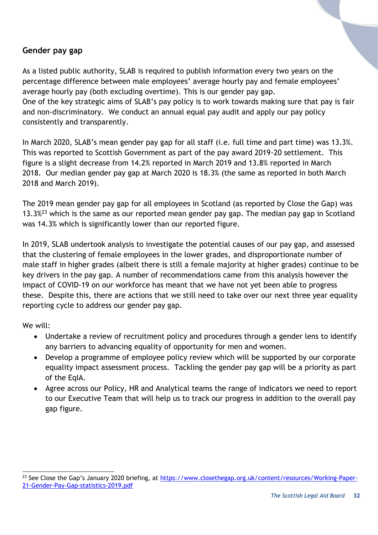#### <span id="page-31-0"></span>**Gender pay gap**

As a listed public authority, SLAB is required to publish information every two years on the percentage difference between male employees' average hourly pay and female employees' average hourly pay (both excluding overtime). This is our gender pay gap. One of the key strategic aims of SLAB's pay policy is to work towards making sure that pay is fair and non-discriminatory. We conduct an annual equal pay audit and apply our pay policy consistently and transparently.

In March 2020, SLAB's mean gender pay gap for all staff (i.e. full time and part time) was 13.3%. This was reported to Scottish Government as part of the pay award 2019-20 settlement. This figure is a slight decrease from 14.2% reported in March 2019 and 13.8% reported in March 2018. Our median gender pay gap at March 2020 is 18.3% (the same as reported in both March 2018 and March 2019).

The 2019 mean gender pay gap for all employees in Scotland (as reported by Close the Gap) was 13.3 $\frac{23}{3}$  which is the same as our reported mean gender pay gap. The median pay gap in Scotland was 14.3% which is significantly lower than our reported figure.

In 2019, SLAB undertook analysis to investigate the potential causes of our pay gap, and assessed that the clustering of female employees in the lower grades, and disproportionate number of male staff in higher grades (albeit there is still a female majority at higher grades) continue to be key drivers in the pay gap. A number of recommendations came from this analysis however the impact of COVID-19 on our workforce has meant that we have not yet been able to progress these. Despite this, there are actions that we still need to take over our next three year equality reporting cycle to address our gender pay gap.

We will:

- Undertake a review of recruitment policy and procedures through a gender lens to identify any barriers to advancing equality of opportunity for men and women.
- Develop a programme of employee policy review which will be supported by our corporate equality impact assessment process. Tackling the gender pay gap will be a priority as part of the EqIA.
- Agree across our Policy, HR and Analytical teams the range of indicators we need to report to our Executive Team that will help us to track our progress in addition to the overall pay gap figure.

l <sup>23</sup> See Close the Gap's January 2020 briefing, at [https://www.closethegap.org.uk/content/resources/Working-Paper-](https://www.closethegap.org.uk/content/resources/Working-Paper-21-Gender-Pay-Gap-statistics-2019.pdf)[21-Gender-Pay-Gap-statistics-2019.pdf](https://www.closethegap.org.uk/content/resources/Working-Paper-21-Gender-Pay-Gap-statistics-2019.pdf)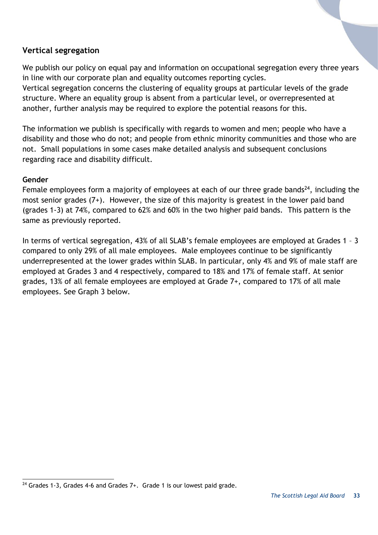# <span id="page-32-0"></span>**Vertical segregation**

We publish our policy on equal pay and information on occupational segregation every three years in line with our corporate plan and equality outcomes reporting cycles.

Vertical segregation concerns the clustering of equality groups at particular levels of the grade structure. Where an equality group is absent from a particular level, or overrepresented at another, further analysis may be required to explore the potential reasons for this.

The information we publish is specifically with regards to women and men; people who have a disability and those who do not; and people from ethnic minority communities and those who are not. Small populations in some cases make detailed analysis and subsequent conclusions regarding race and disability difficult.

#### **Gender**

Female employees form a majority of employees at each of our three grade bands<sup>24</sup>, including the most senior grades (7+). However, the size of this majority is greatest in the lower paid band (grades 1-3) at 74%, compared to 62% and 60% in the two higher paid bands. This pattern is the same as previously reported.

In terms of vertical segregation, 43% of all SLAB's female employees are employed at Grades 1 – 3 compared to only 29% of all male employees. Male employees continue to be significantly underrepresented at the lower grades within SLAB. In particular, only 4% and 9% of male staff are employed at Grades 3 and 4 respectively, compared to 18% and 17% of female staff. At senior grades, 13% of all female employees are employed at Grade 7+, compared to 17% of all male employees. See Graph 3 below.

l  $24$  Grades 1-3, Grades 4-6 and Grades  $7+$ . Grade 1 is our lowest paid grade.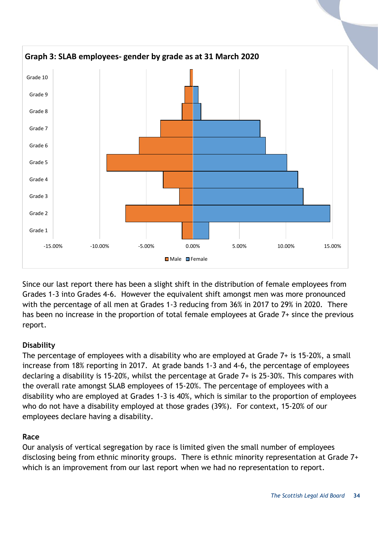

Since our last report there has been a slight shift in the distribution of female employees from Grades 1-3 into Grades 4-6. However the equivalent shift amongst men was more pronounced with the percentage of all men at Grades 1-3 reducing from 36% in 2017 to 29% in 2020. There has been no increase in the proportion of total female employees at Grade 7+ since the previous report.

# **Disability**

The percentage of employees with a disability who are employed at Grade 7+ is 15-20%, a small increase from 18% reporting in 2017. At grade bands 1-3 and 4-6, the percentage of employees declaring a disability is 15-20%, whilst the percentage at Grade 7+ is 25-30%. This compares with the overall rate amongst SLAB employees of 15-20%. The percentage of employees with a disability who are employed at Grades 1-3 is 40%, which is similar to the proportion of employees who do not have a disability employed at those grades (39%). For context, 15-20% of our employees declare having a disability.

#### **Race**

Our analysis of vertical segregation by race is limited given the small number of employees disclosing being from ethnic minority groups. There is ethnic minority representation at Grade 7+ which is an improvement from our last report when we had no representation to report.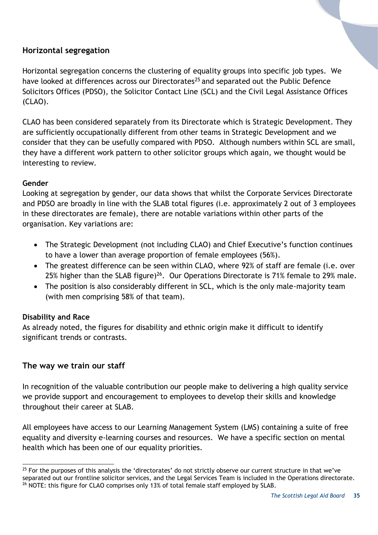# <span id="page-34-0"></span>**Horizontal segregation**

Horizontal segregation concerns the clustering of equality groups into specific job types. We have looked at differences across our Directorates<sup>25</sup> and separated out the Public Defence Solicitors Offices (PDSO), the Solicitor Contact Line (SCL) and the Civil Legal Assistance Offices (CLAO).

CLAO has been considered separately from its Directorate which is Strategic Development. They are sufficiently occupationally different from other teams in Strategic Development and we consider that they can be usefully compared with PDSO. Although numbers within SCL are small, they have a different work pattern to other solicitor groups which again, we thought would be interesting to review.

#### **Gender**

Looking at segregation by gender, our data shows that whilst the Corporate Services Directorate and PDSO are broadly in line with the SLAB total figures (i.e. approximately 2 out of 3 employees in these directorates are female), there are notable variations within other parts of the organisation. Key variations are:

- The Strategic Development (not including CLAO) and Chief Executive's function continues to have a lower than average proportion of female employees (56%).
- The greatest difference can be seen within CLAO, where 92% of staff are female (i.e. over 25% higher than the SLAB figure)<sup>26</sup>. Our Operations Directorate is 71% female to 29% male.
- The position is also considerably different in SCL, which is the only male-majority team (with men comprising 58% of that team).

# **Disability and Race**

As already noted, the figures for disability and ethnic origin make it difficult to identify significant trends or contrasts.

# <span id="page-34-1"></span>**The way we train our staff**

In recognition of the valuable contribution our people make to delivering a high quality service we provide support and encouragement to employees to develop their skills and knowledge throughout their career at SLAB.

All employees have access to our Learning Management System (LMS) containing a suite of free equality and diversity e-learning courses and resources. We have a specific section on mental health which has been one of our equality priorities.

l  $25$  For the purposes of this analysis the 'directorates' do not strictly observe our current structure in that we've separated out our frontline solicitor services, and the Legal Services Team is included in the Operations directorate.  $26$  NOTE: this figure for CLAO comprises only 13% of total female staff employed by SLAB.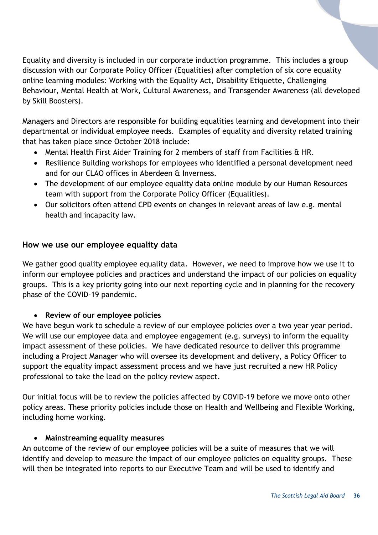Equality and diversity is included in our corporate induction programme. This includes a group discussion with our Corporate Policy Officer (Equalities) after completion of six core equality online learning modules: Working with the Equality Act, Disability Etiquette, Challenging Behaviour, Mental Health at Work, Cultural Awareness, and Transgender Awareness (all developed by Skill Boosters).

Managers and Directors are responsible for building equalities learning and development into their departmental or individual employee needs. Examples of equality and diversity related training that has taken place since October 2018 include:

- Mental Health First Aider Training for 2 members of staff from Facilities & HR.
- Resilience Building workshops for employees who identified a personal development need and for our CLAO offices in Aberdeen & Inverness.
- The development of our employee equality data online module by our Human Resources team with support from the Corporate Policy Officer (Equalities).
- Our solicitors often attend CPD events on changes in relevant areas of law e.g. mental health and incapacity law.

# <span id="page-35-0"></span>**How we use our employee equality data**

We gather good quality employee equality data. However, we need to improve how we use it to inform our employee policies and practices and understand the impact of our policies on equality groups. This is a key priority going into our next reporting cycle and in planning for the recovery phase of the COVID-19 pandemic.

# **Review of our employee policies**

We have begun work to schedule a review of our employee policies over a two year year period. We will use our employee data and employee engagement (e.g. surveys) to inform the equality impact assessment of these policies. We have dedicated resource to deliver this programme including a Project Manager who will oversee its development and delivery, a Policy Officer to support the equality impact assessment process and we have just recruited a new HR Policy professional to take the lead on the policy review aspect.

Our initial focus will be to review the policies affected by COVID-19 before we move onto other policy areas. These priority policies include those on Health and Wellbeing and Flexible Working, including home working.

#### **Mainstreaming equality measures**

An outcome of the review of our employee policies will be a suite of measures that we will identify and develop to measure the impact of our employee policies on equality groups. These will then be integrated into reports to our Executive Team and will be used to identify and